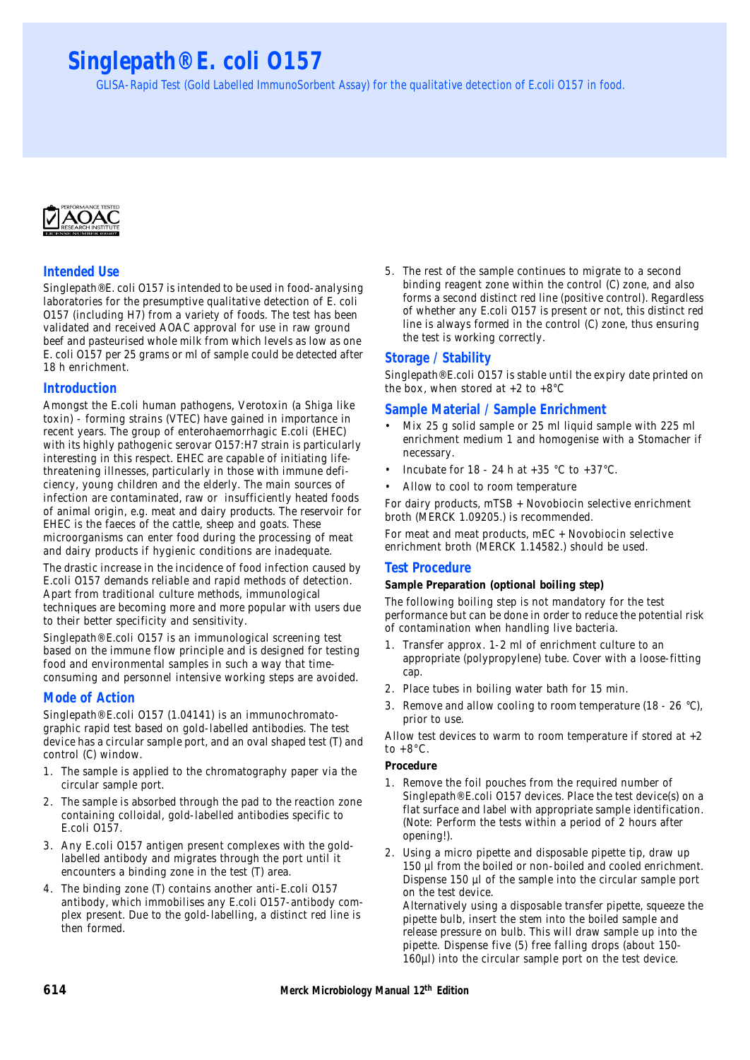# **Singlepath® E. coli O157**

GLISA-Rapid Test (Gold Labelled ImmunoSorbent Assay) for the qualitative detection of E.coli O157 in food.



# **Intended Use**

Singlepath® E. coli O157 is intended to be used in food-analysing laboratories for the presumptive qualitative detection of E. coli O157 (including H7) from a variety of foods. The test has been validated and received AOAC approval for use in raw ground beef and pasteurised whole milk from which levels as low as one E. coli O157 per 25 grams or ml of sample could be detected after 18 h enrichment.

# **Introduction**

Amongst the E.coli human pathogens, Verotoxin (a Shiga like toxin) - forming strains (VTEC) have gained in importance in recent years. The group of enterohaemorrhagic E.coli (EHEC) with its highly pathogenic serovar O157:H7 strain is particularly interesting in this respect. EHEC are capable of initiating lifethreatening illnesses, particularly in those with immune deficiency, young children and the elderly. The main sources of infection are contaminated, raw or insufficiently heated foods of animal origin, e.g. meat and dairy products. The reservoir for EHEC is the faeces of the cattle, sheep and goats. These microorganisms can enter food during the processing of meat and dairy products if hygienic conditions are inadequate.

The drastic increase in the incidence of food infection caused by E.coli O157 demands reliable and rapid methods of detection. Apart from traditional culture methods, immunological techniques are becoming more and more popular with users due to their better specificity and sensitivity.

Singlepath® E.coli O157 is an immunological screening test based on the immune flow principle and is designed for testing food and environmental samples in such a way that timeconsuming and personnel intensive working steps are avoided.

# **Mode of Action**

Singlepath® E.coli O157 (1.04141) is an immunochromatographic rapid test based on gold-labelled antibodies. The test device has a circular sample port, and an oval shaped test (T) and control (C) window.

- 1. The sample is applied to the chromatography paper via the circular sample port.
- 2. The sample is absorbed through the pad to the reaction zone containing colloidal, gold-labelled antibodies specific to E.coli O157.
- 3. Any E.coli O157 antigen present complexes with the goldlabelled antibody and migrates through the port until it encounters a binding zone in the test (T) area.
- 4. The binding zone (T) contains another anti-E.coli O157 antibody, which immobilises any E.coli O157-antibody complex present. Due to the gold-labelling, a distinct red line is then formed.

5. The rest of the sample continues to migrate to a second binding reagent zone within the control (C) zone, and also forms a second distinct red line (positive control). Regardless of whether any E.coli O157 is present or not, this distinct red line is always formed in the control (C) zone, thus ensuring the test is working correctly.

# **Storage / Stability**

Singlepath® E.coli O157 is stable until the expiry date printed on the box, when stored at  $+2$  to  $+8^{\circ}$ C

# **Sample Material / Sample Enrichment**

- Mix 25 g solid sample or 25 ml liquid sample with 225 ml enrichment medium 1 and homogenise with a Stomacher if necessary.
- Incubate for 18 24 h at  $+35$  °C to  $+37$ °C.
- Allow to cool to room temperature

For dairy products, mTSB + Novobiocin selective enrichment broth (MERCK 1.09205.) is recommended.

For meat and meat products, mEC + Novobiocin selective enrichment broth (MERCK 1.14582.) should be used.

# **Test Procedure**

# **Sample Preparation (optional boiling step)**

The following boiling step is not mandatory for the test performance but can be done in order to reduce the potential risk of contamination when handling live bacteria.

- 1. Transfer approx. 1-2 ml of enrichment culture to an appropriate (polypropylene) tube. Cover with a loose-fitting cap.
- 2. Place tubes in boiling water bath for 15 min.
- 3. Remove and allow cooling to room temperature (18 26 °C), prior to use.

Allow test devices to warm to room temperature if stored at +2 to  $+8^{\circ}$ C.

#### **Procedure**

- 1. Remove the foil pouches from the required number of Singlepath® E.coli O157 devices. Place the test device(s) on a flat surface and label with appropriate sample identification. (Note: Perform the tests within a period of 2 hours after opening!).
- 2. Using a micro pipette and disposable pipette tip, draw up 150 µl from the boiled or non-boiled and cooled enrichment. Dispense 150 µl of the sample into the circular sample port on the test device.

Alternatively using a disposable transfer pipette, squeeze the pipette bulb, insert the stem into the boiled sample and release pressure on bulb. This will draw sample up into the pipette. Dispense five (5) free falling drops (about 150- 160µl) into the circular sample port on the test device.